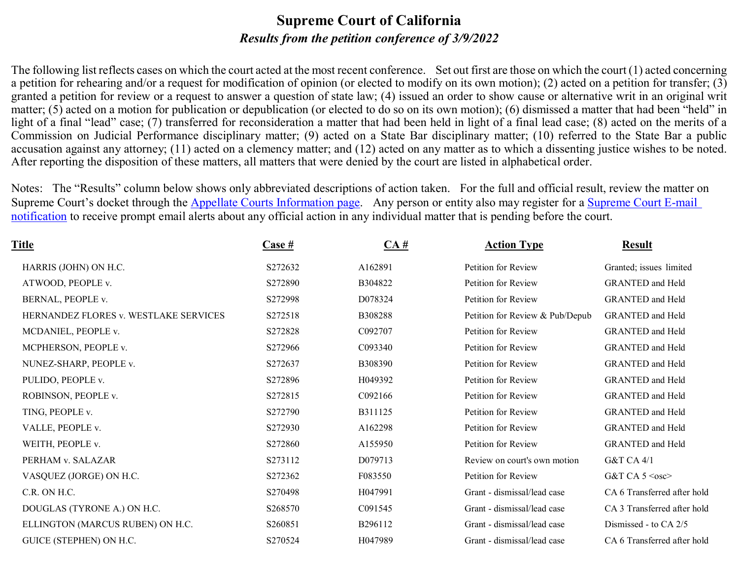#### **Supreme Court of California** *Results from the petition conference of 3/9/2022*

The following list reflects cases on which the court acted at the most recent conference. Set out first are those on which the court (1) acted concerning a petition for rehearing and/or a request for modification of opinion (or elected to modify on its own motion); (2) acted on a petition for transfer; (3) granted a petition for review or a request to answer a question of state law; (4) issued an order to show cause or alternative writ in an original writ matter; (5) acted on a motion for publication or depublication (or elected to do so on its own motion); (6) dismissed a matter that had been "held" in light of a final "lead" case; (7) transferred for reconsideration a matter that had been held in light of a final lead case; (8) acted on the merits of a Commission on Judicial Performance disciplinary matter; (9) acted on a State Bar disciplinary matter; (10) referred to the State Bar a public accusation against any attorney; (11) acted on a clemency matter; and (12) acted on any matter as to which a dissenting justice wishes to be noted. After reporting the disposition of these matters, all matters that were denied by the court are listed in alphabetical order.

Notes: The "Results" column below shows only abbreviated descriptions of action taken. For the full and official result, review the matter on Supreme Court's docket through the [Appellate Courts Information page.](http://appellatecases.courtinfo.ca.gov/search.cfm?dist=0) Any person or entity also may register for a Supreme Court E-mail [notification](http://appellatecases.courtinfo.ca.gov/email.cfm?dist=0) to receive prompt email alerts about any official action in any individual matter that is pending before the court.

| Title                                 | <b>Case</b> # | CA#     | <b>Action Type</b>              | <b>Result</b>               |
|---------------------------------------|---------------|---------|---------------------------------|-----------------------------|
| HARRIS (JOHN) ON H.C.                 | S272632       | A162891 | Petition for Review             | Granted; issues limited     |
| ATWOOD, PEOPLE v.                     | S272890       | B304822 | Petition for Review             | <b>GRANTED</b> and Held     |
| BERNAL, PEOPLE v.                     | S272998       | D078324 | Petition for Review             | <b>GRANTED</b> and Held     |
| HERNANDEZ FLORES v. WESTLAKE SERVICES | S272518       | B308288 | Petition for Review & Pub/Depub | <b>GRANTED</b> and Held     |
| MCDANIEL, PEOPLE v.                   | S272828       | C092707 | Petition for Review             | <b>GRANTED</b> and Held     |
| MCPHERSON, PEOPLE v.                  | S272966       | C093340 | Petition for Review             | <b>GRANTED</b> and Held     |
| NUNEZ-SHARP, PEOPLE v.                | S272637       | B308390 | Petition for Review             | <b>GRANTED</b> and Held     |
| PULIDO, PEOPLE v.                     | S272896       | H049392 | Petition for Review             | <b>GRANTED</b> and Held     |
| ROBINSON, PEOPLE v.                   | S272815       | C092166 | Petition for Review             | <b>GRANTED</b> and Held     |
| TING, PEOPLE v.                       | S272790       | B311125 | Petition for Review             | <b>GRANTED</b> and Held     |
| VALLE, PEOPLE v.                      | S272930       | A162298 | Petition for Review             | <b>GRANTED</b> and Held     |
| WEITH, PEOPLE v.                      | S272860       | A155950 | Petition for Review             | <b>GRANTED</b> and Held     |
| PERHAM v. SALAZAR                     | S273112       | D079713 | Review on court's own motion    | G&T CA 4/1                  |
| VASQUEZ (JORGE) ON H.C.               | S272362       | F083550 | Petition for Review             | G&T CA $5 \le$ osc>         |
| C.R. ON H.C.                          | S270498       | H047991 | Grant - dismissal/lead case     | CA 6 Transferred after hold |
| DOUGLAS (TYRONE A.) ON H.C.           | S268570       | C091545 | Grant - dismissal/lead case     | CA 3 Transferred after hold |
| ELLINGTON (MARCUS RUBEN) ON H.C.      | S260851       | B296112 | Grant - dismissal/lead case     | Dismissed - to CA 2/5       |
| GUICE (STEPHEN) ON H.C.               | S270524       | H047989 | Grant - dismissal/lead case     | CA 6 Transferred after hold |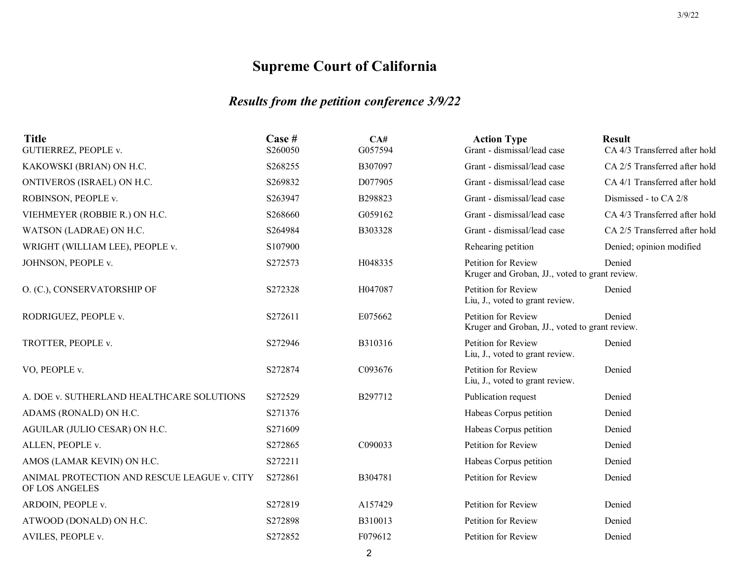### *Results from the petition conference 3/9/22*

| <b>Title</b><br><b>GUTIERREZ, PEOPLE v.</b>                   | Case #<br>S260050 | CA#<br>G057594 | <b>Action Type</b><br>Grant - dismissal/lead case                     | <b>Result</b><br>CA 4/3 Transferred after hold |
|---------------------------------------------------------------|-------------------|----------------|-----------------------------------------------------------------------|------------------------------------------------|
| KAKOWSKI (BRIAN) ON H.C.                                      | S268255           | B307097        | Grant - dismissal/lead case                                           | CA 2/5 Transferred after hold                  |
| ONTIVEROS (ISRAEL) ON H.C.                                    | S269832           | D077905        | Grant - dismissal/lead case                                           | CA 4/1 Transferred after hold                  |
| ROBINSON, PEOPLE v.                                           | S263947           | B298823        | Grant - dismissal/lead case                                           | Dismissed - to CA 2/8                          |
| VIEHMEYER (ROBBIE R.) ON H.C.                                 | S268660           | G059162        | Grant - dismissal/lead case                                           | CA 4/3 Transferred after hold                  |
| WATSON (LADRAE) ON H.C.                                       | S264984           | B303328        | Grant - dismissal/lead case                                           | CA 2/5 Transferred after hold                  |
| WRIGHT (WILLIAM LEE), PEOPLE v.                               | S107900           |                | Rehearing petition                                                    | Denied; opinion modified                       |
| JOHNSON, PEOPLE v.                                            | S272573           | H048335        | Petition for Review<br>Kruger and Groban, JJ., voted to grant review. | Denied                                         |
| O. (C.), CONSERVATORSHIP OF                                   | S272328           | H047087        | Petition for Review<br>Liu, J., voted to grant review.                | Denied                                         |
| RODRIGUEZ, PEOPLE v.                                          | S272611           | E075662        | Petition for Review<br>Kruger and Groban, JJ., voted to grant review. | Denied                                         |
| TROTTER, PEOPLE v.                                            | S272946           | B310316        | Petition for Review<br>Liu, J., voted to grant review.                | Denied                                         |
| VO, PEOPLE v.                                                 | S272874           | C093676        | Petition for Review<br>Liu, J., voted to grant review.                | Denied                                         |
| A. DOE v. SUTHERLAND HEALTHCARE SOLUTIONS                     | S272529           | B297712        | Publication request                                                   | Denied                                         |
| ADAMS (RONALD) ON H.C.                                        | S271376           |                | Habeas Corpus petition                                                | Denied                                         |
| AGUILAR (JULIO CESAR) ON H.C.                                 | S271609           |                | Habeas Corpus petition                                                | Denied                                         |
| ALLEN, PEOPLE v.                                              | S272865           | C090033        | Petition for Review                                                   | Denied                                         |
| AMOS (LAMAR KEVIN) ON H.C.                                    | S272211           |                | Habeas Corpus petition                                                | Denied                                         |
| ANIMAL PROTECTION AND RESCUE LEAGUE v. CITY<br>OF LOS ANGELES | S272861           | B304781        | Petition for Review                                                   | Denied                                         |
| ARDOIN, PEOPLE v.                                             | S272819           | A157429        | Petition for Review                                                   | Denied                                         |
| ATWOOD (DONALD) ON H.C.                                       | S272898           | B310013        | Petition for Review                                                   | Denied                                         |
| AVILES, PEOPLE v.                                             | S272852           | F079612        | Petition for Review                                                   | Denied                                         |
|                                                               |                   |                |                                                                       |                                                |

2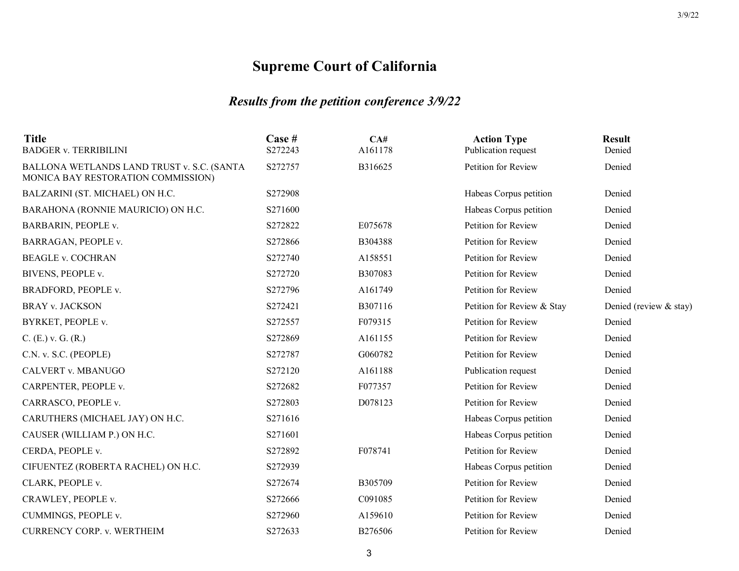| <b>Title</b><br><b>BADGER v. TERRIBILINI</b>                                     | Case #<br>S272243 | CA#<br>A161178 | <b>Action Type</b><br>Publication request | <b>Result</b><br>Denied |
|----------------------------------------------------------------------------------|-------------------|----------------|-------------------------------------------|-------------------------|
| BALLONA WETLANDS LAND TRUST v. S.C. (SANTA<br>MONICA BAY RESTORATION COMMISSION) | S272757           | B316625        | Petition for Review                       | Denied                  |
| BALZARINI (ST. MICHAEL) ON H.C.                                                  | S272908           |                | Habeas Corpus petition                    | Denied                  |
| BARAHONA (RONNIE MAURICIO) ON H.C.                                               | S271600           |                | Habeas Corpus petition                    | Denied                  |
| BARBARIN, PEOPLE v.                                                              | S272822           | E075678        | Petition for Review                       | Denied                  |
| BARRAGAN, PEOPLE v.                                                              | S272866           | B304388        | Petition for Review                       | Denied                  |
| <b>BEAGLE v. COCHRAN</b>                                                         | S272740           | A158551        | Petition for Review                       | Denied                  |
| BIVENS, PEOPLE v.                                                                | S272720           | B307083        | Petition for Review                       | Denied                  |
| BRADFORD, PEOPLE v.                                                              | S272796           | A161749        | Petition for Review                       | Denied                  |
| <b>BRAY v. JACKSON</b>                                                           | S272421           | B307116        | Petition for Review & Stay                | Denied (review & stay)  |
| BYRKET, PEOPLE v.                                                                | S272557           | F079315        | Petition for Review                       | Denied                  |
| $C. (E.)$ v. G. $(R.)$                                                           | S272869           | A161155        | Petition for Review                       | Denied                  |
| C.N. v. S.C. (PEOPLE)                                                            | S272787           | G060782        | Petition for Review                       | Denied                  |
| CALVERT v. MBANUGO                                                               | S272120           | A161188        | Publication request                       | Denied                  |
| CARPENTER, PEOPLE v.                                                             | S272682           | F077357        | Petition for Review                       | Denied                  |
| CARRASCO, PEOPLE v.                                                              | S272803           | D078123        | Petition for Review                       | Denied                  |
| CARUTHERS (MICHAEL JAY) ON H.C.                                                  | S271616           |                | Habeas Corpus petition                    | Denied                  |
| CAUSER (WILLIAM P.) ON H.C.                                                      | S271601           |                | Habeas Corpus petition                    | Denied                  |
| CERDA, PEOPLE v.                                                                 | S272892           | F078741        | Petition for Review                       | Denied                  |
| CIFUENTEZ (ROBERTA RACHEL) ON H.C.                                               | S272939           |                | Habeas Corpus petition                    | Denied                  |
| CLARK, PEOPLE v.                                                                 | S272674           | B305709        | Petition for Review                       | Denied                  |
| CRAWLEY, PEOPLE v.                                                               | S272666           | C091085        | Petition for Review                       | Denied                  |
| CUMMINGS, PEOPLE v.                                                              | S272960           | A159610        | Petition for Review                       | Denied                  |
| <b>CURRENCY CORP. v. WERTHEIM</b>                                                | S272633           | B276506        | Petition for Review                       | Denied                  |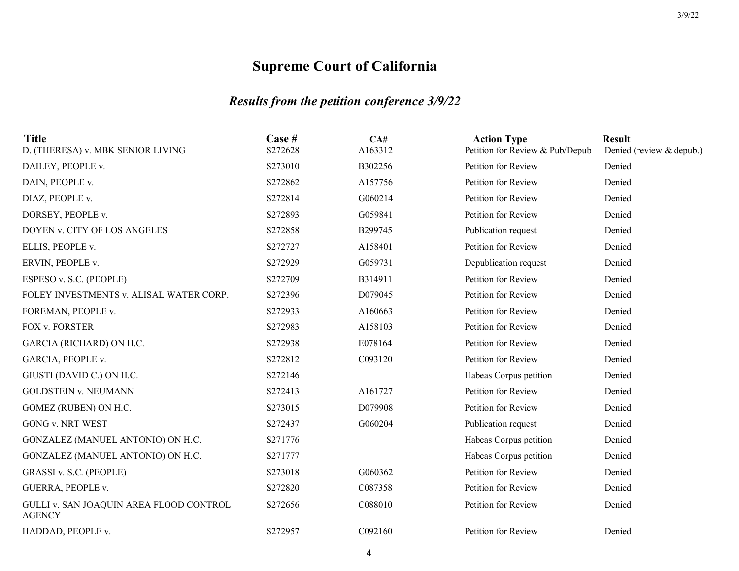| <b>Title</b><br>D. (THERESA) v. MBK SENIOR LIVING        | Case #<br>S272628 | CA#<br>A163312 | <b>Action Type</b><br>Petition for Review & Pub/Depub | <b>Result</b><br>Denied (review & depub.) |
|----------------------------------------------------------|-------------------|----------------|-------------------------------------------------------|-------------------------------------------|
| DAILEY, PEOPLE v.                                        | S273010           | B302256        | Petition for Review                                   | Denied                                    |
| DAIN, PEOPLE v.                                          | S272862           | A157756        | Petition for Review                                   | Denied                                    |
| DIAZ, PEOPLE v.                                          | S272814           | G060214        | Petition for Review                                   | Denied                                    |
| DORSEY, PEOPLE v.                                        | S272893           | G059841        | Petition for Review                                   | Denied                                    |
| DOYEN v. CITY OF LOS ANGELES                             | S272858           | B299745        | Publication request                                   | Denied                                    |
| ELLIS, PEOPLE v.                                         | S272727           | A158401        | Petition for Review                                   | Denied                                    |
| ERVIN, PEOPLE v.                                         | S272929           | G059731        | Depublication request                                 | Denied                                    |
| ESPESO v. S.C. (PEOPLE)                                  | S272709           | B314911        | Petition for Review                                   | Denied                                    |
| FOLEY INVESTMENTS v. ALISAL WATER CORP.                  | S272396           | D079045        | Petition for Review                                   | Denied                                    |
| FOREMAN, PEOPLE v.                                       | S272933           | A160663        | Petition for Review                                   | Denied                                    |
| FOX v. FORSTER                                           | S272983           | A158103        | Petition for Review                                   | Denied                                    |
| GARCIA (RICHARD) ON H.C.                                 | S272938           | E078164        | Petition for Review                                   | Denied                                    |
| GARCIA, PEOPLE v.                                        | S272812           | C093120        | Petition for Review                                   | Denied                                    |
| GIUSTI (DAVID C.) ON H.C.                                | S272146           |                | Habeas Corpus petition                                | Denied                                    |
| <b>GOLDSTEIN v. NEUMANN</b>                              | S272413           | A161727        | Petition for Review                                   | Denied                                    |
| GOMEZ (RUBEN) ON H.C.                                    | S273015           | D079908        | Petition for Review                                   | Denied                                    |
| <b>GONG v. NRT WEST</b>                                  | S272437           | G060204        | Publication request                                   | Denied                                    |
| GONZALEZ (MANUEL ANTONIO) ON H.C.                        | S271776           |                | Habeas Corpus petition                                | Denied                                    |
| GONZALEZ (MANUEL ANTONIO) ON H.C.                        | S271777           |                | Habeas Corpus petition                                | Denied                                    |
| GRASSI v. S.C. (PEOPLE)                                  | S273018           | G060362        | Petition for Review                                   | Denied                                    |
| GUERRA, PEOPLE v.                                        | S272820           | C087358        | Petition for Review                                   | Denied                                    |
| GULLI v. SAN JOAQUIN AREA FLOOD CONTROL<br><b>AGENCY</b> | S272656           | C088010        | Petition for Review                                   | Denied                                    |
| HADDAD, PEOPLE v.                                        | S272957           | C092160        | Petition for Review                                   | Denied                                    |
|                                                          |                   |                |                                                       |                                           |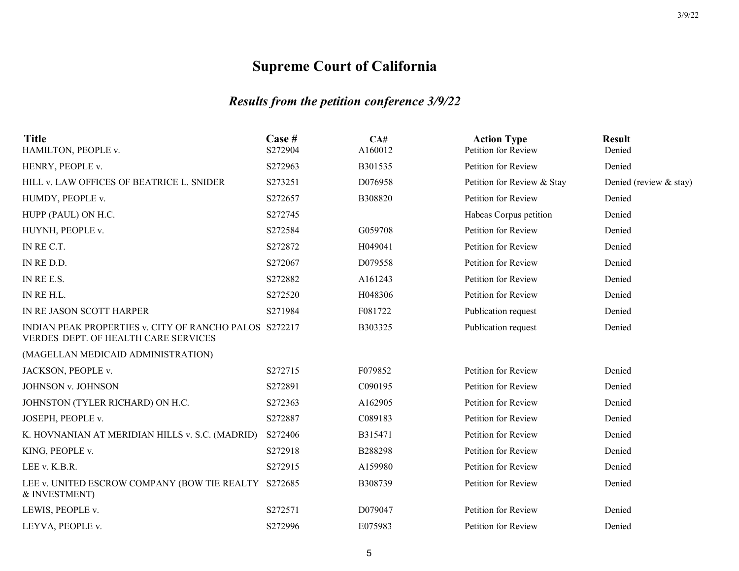| Case #<br>S272904 | CA#<br>A160012                                                                                                 | <b>Action Type</b><br>Petition for Review | <b>Result</b><br>Denied |
|-------------------|----------------------------------------------------------------------------------------------------------------|-------------------------------------------|-------------------------|
| S272963           | B301535                                                                                                        | Petition for Review                       | Denied                  |
| S273251           | D076958                                                                                                        | Petition for Review & Stay                | Denied (review & stay)  |
| S272657           | B308820                                                                                                        | Petition for Review                       | Denied                  |
| S272745           |                                                                                                                | Habeas Corpus petition                    | Denied                  |
| S272584           | G059708                                                                                                        | Petition for Review                       | Denied                  |
| S272872           | H049041                                                                                                        | Petition for Review                       | Denied                  |
| S272067           | D079558                                                                                                        | Petition for Review                       | Denied                  |
| S272882           | A161243                                                                                                        | Petition for Review                       | Denied                  |
| S272520           | H048306                                                                                                        | Petition for Review                       | Denied                  |
| S271984           | F081722                                                                                                        | Publication request                       | Denied                  |
|                   | B303325                                                                                                        | Publication request                       | Denied                  |
|                   |                                                                                                                |                                           |                         |
| S272715           | F079852                                                                                                        | Petition for Review                       | Denied                  |
| S272891           | C090195                                                                                                        | Petition for Review                       | Denied                  |
| S272363           | A162905                                                                                                        | Petition for Review                       | Denied                  |
| S272887           | C089183                                                                                                        | Petition for Review                       | Denied                  |
| S272406           | B315471                                                                                                        | Petition for Review                       | Denied                  |
| S272918           | B288298                                                                                                        | Petition for Review                       | Denied                  |
| S272915           | A159980                                                                                                        | Petition for Review                       | Denied                  |
|                   | B308739                                                                                                        | Petition for Review                       | Denied                  |
| S272571           | D079047                                                                                                        | Petition for Review                       | Denied                  |
| S272996           | E075983                                                                                                        | Petition for Review                       | Denied                  |
|                   | INDIAN PEAK PROPERTIES v. CITY OF RANCHO PALOS S272217<br>LEE v. UNITED ESCROW COMPANY (BOW TIE REALTY S272685 |                                           |                         |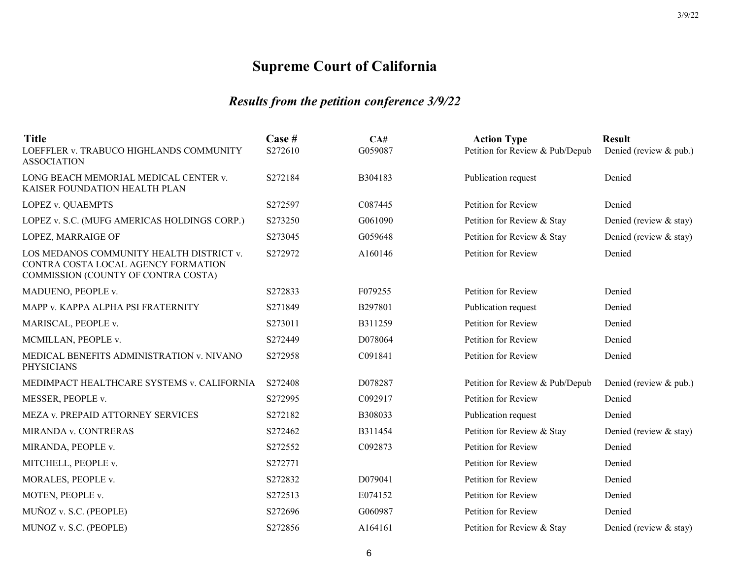| <b>Title</b>                                                                                                           | Case #  | CA#     | <b>Action Type</b>              | <b>Result</b>          |
|------------------------------------------------------------------------------------------------------------------------|---------|---------|---------------------------------|------------------------|
| LOEFFLER v. TRABUCO HIGHLANDS COMMUNITY<br><b>ASSOCIATION</b>                                                          | S272610 | G059087 | Petition for Review & Pub/Depub | Denied (review & pub.) |
| LONG BEACH MEMORIAL MEDICAL CENTER v.<br>KAISER FOUNDATION HEALTH PLAN                                                 | S272184 | B304183 | Publication request             | Denied                 |
| LOPEZ v. QUAEMPTS                                                                                                      | S272597 | C087445 | Petition for Review             | Denied                 |
| LOPEZ v. S.C. (MUFG AMERICAS HOLDINGS CORP.)                                                                           | S273250 | G061090 | Petition for Review & Stay      | Denied (review & stay) |
| LOPEZ, MARRAIGE OF                                                                                                     | S273045 | G059648 | Petition for Review & Stay      | Denied (review & stay) |
| LOS MEDANOS COMMUNITY HEALTH DISTRICT v.<br>CONTRA COSTA LOCAL AGENCY FORMATION<br>COMMISSION (COUNTY OF CONTRA COSTA) | S272972 | A160146 | Petition for Review             | Denied                 |
| MADUENO, PEOPLE v.                                                                                                     | S272833 | F079255 | Petition for Review             | Denied                 |
| MAPP v. KAPPA ALPHA PSI FRATERNITY                                                                                     | S271849 | B297801 | Publication request             | Denied                 |
| MARISCAL, PEOPLE v.                                                                                                    | S273011 | B311259 | Petition for Review             | Denied                 |
| MCMILLAN, PEOPLE v.                                                                                                    | S272449 | D078064 | Petition for Review             | Denied                 |
| MEDICAL BENEFITS ADMINISTRATION v. NIVANO<br><b>PHYSICIANS</b>                                                         | S272958 | C091841 | Petition for Review             | Denied                 |
| MEDIMPACT HEALTHCARE SYSTEMS v. CALIFORNIA                                                                             | S272408 | D078287 | Petition for Review & Pub/Depub | Denied (review & pub.) |
| MESSER, PEOPLE v.                                                                                                      | S272995 | C092917 | Petition for Review             | Denied                 |
| MEZA v. PREPAID ATTORNEY SERVICES                                                                                      | S272182 | B308033 | Publication request             | Denied                 |
| MIRANDA v. CONTRERAS                                                                                                   | S272462 | B311454 | Petition for Review & Stay      | Denied (review & stay) |
| MIRANDA, PEOPLE v.                                                                                                     | S272552 | C092873 | Petition for Review             | Denied                 |
| MITCHELL, PEOPLE v.                                                                                                    | S272771 |         | Petition for Review             | Denied                 |
| MORALES, PEOPLE v.                                                                                                     | S272832 | D079041 | Petition for Review             | Denied                 |
| MOTEN, PEOPLE v.                                                                                                       | S272513 | E074152 | Petition for Review             | Denied                 |
| MUÑOZ v. S.C. (PEOPLE)                                                                                                 | S272696 | G060987 | Petition for Review             | Denied                 |
| MUNOZ v. S.C. (PEOPLE)                                                                                                 | S272856 | A164161 | Petition for Review & Stay      | Denied (review & stay) |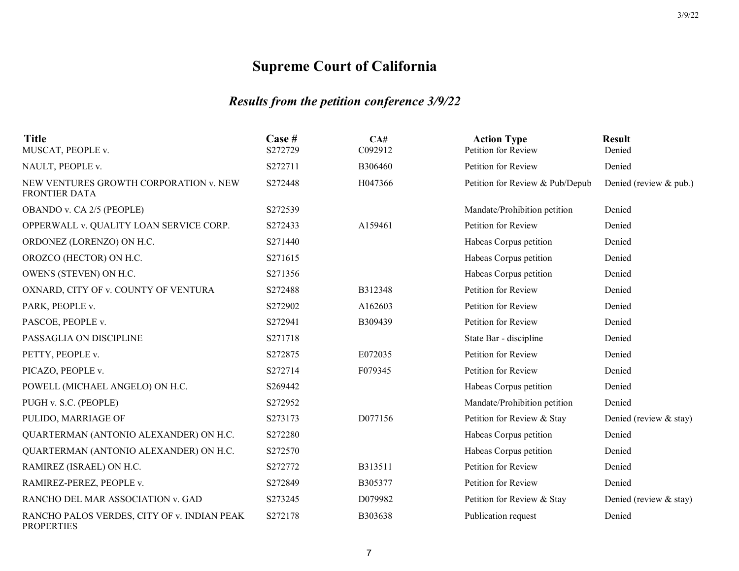| <b>Title</b><br>MUSCAT, PEOPLE v.                                | Case #<br>S272729 | CA#<br>C092912 | <b>Action Type</b><br>Petition for Review | <b>Result</b><br>Denied |
|------------------------------------------------------------------|-------------------|----------------|-------------------------------------------|-------------------------|
| NAULT, PEOPLE v.                                                 | S272711           | B306460        | Petition for Review                       | Denied                  |
| NEW VENTURES GROWTH CORPORATION v. NEW<br><b>FRONTIER DATA</b>   | S272448           | H047366        | Petition for Review & Pub/Depub           | Denied (review & pub.)  |
| OBANDO v. CA 2/5 (PEOPLE)                                        | S272539           |                | Mandate/Prohibition petition              | Denied                  |
| OPPERWALL v. QUALITY LOAN SERVICE CORP.                          | S272433           | A159461        | Petition for Review                       | Denied                  |
| ORDONEZ (LORENZO) ON H.C.                                        | S271440           |                | Habeas Corpus petition                    | Denied                  |
| OROZCO (HECTOR) ON H.C.                                          | S271615           |                | Habeas Corpus petition                    | Denied                  |
| OWENS (STEVEN) ON H.C.                                           | S271356           |                | Habeas Corpus petition                    | Denied                  |
| OXNARD, CITY OF v. COUNTY OF VENTURA                             | S272488           | B312348        | Petition for Review                       | Denied                  |
| PARK, PEOPLE v.                                                  | S272902           | A162603        | Petition for Review                       | Denied                  |
| PASCOE, PEOPLE v.                                                | S272941           | B309439        | Petition for Review                       | Denied                  |
| PASSAGLIA ON DISCIPLINE                                          | S271718           |                | State Bar - discipline                    | Denied                  |
| PETTY, PEOPLE v.                                                 | S272875           | E072035        | Petition for Review                       | Denied                  |
| PICAZO, PEOPLE v.                                                | S272714           | F079345        | Petition for Review                       | Denied                  |
| POWELL (MICHAEL ANGELO) ON H.C.                                  | S269442           |                | Habeas Corpus petition                    | Denied                  |
| PUGH v. S.C. (PEOPLE)                                            | S272952           |                | Mandate/Prohibition petition              | Denied                  |
| PULIDO, MARRIAGE OF                                              | S273173           | D077156        | Petition for Review & Stay                | Denied (review & stay)  |
| QUARTERMAN (ANTONIO ALEXANDER) ON H.C.                           | S272280           |                | Habeas Corpus petition                    | Denied                  |
| QUARTERMAN (ANTONIO ALEXANDER) ON H.C.                           | S272570           |                | Habeas Corpus petition                    | Denied                  |
| RAMIREZ (ISRAEL) ON H.C.                                         | S272772           | B313511        | Petition for Review                       | Denied                  |
| RAMIREZ-PEREZ, PEOPLE v.                                         | S272849           | B305377        | Petition for Review                       | Denied                  |
| RANCHO DEL MAR ASSOCIATION v. GAD                                | S273245           | D079982        | Petition for Review & Stay                | Denied (review & stay)  |
| RANCHO PALOS VERDES, CITY OF v. INDIAN PEAK<br><b>PROPERTIES</b> | S272178           | B303638        | Publication request                       | Denied                  |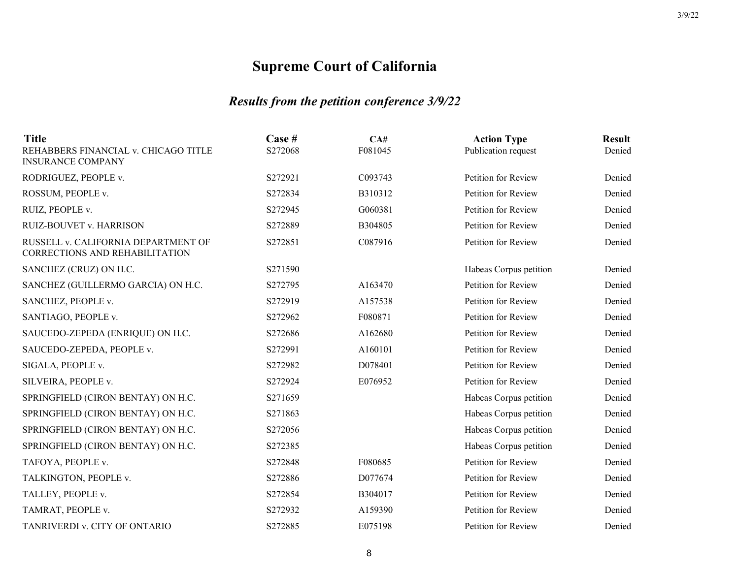| <b>Title</b><br>REHABBERS FINANCIAL v. CHICAGO TITLE<br><b>INSURANCE COMPANY</b> | Case #<br>S272068 | CA#<br>F081045 | <b>Action Type</b><br>Publication request | <b>Result</b><br>Denied |
|----------------------------------------------------------------------------------|-------------------|----------------|-------------------------------------------|-------------------------|
| RODRIGUEZ, PEOPLE v.                                                             | S272921           | C093743        | Petition for Review                       | Denied                  |
| ROSSUM, PEOPLE v.                                                                | S272834           | B310312        | Petition for Review                       | Denied                  |
| RUIZ, PEOPLE v.                                                                  | S272945           | G060381        | Petition for Review                       | Denied                  |
| RUIZ-BOUVET v. HARRISON                                                          | S272889           | B304805        | Petition for Review                       | Denied                  |
| RUSSELL v. CALIFORNIA DEPARTMENT OF<br>CORRECTIONS AND REHABILITATION            | S272851           | C087916        | Petition for Review                       | Denied                  |
| SANCHEZ (CRUZ) ON H.C.                                                           | S271590           |                | Habeas Corpus petition                    | Denied                  |
| SANCHEZ (GUILLERMO GARCIA) ON H.C.                                               | S272795           | A163470        | Petition for Review                       | Denied                  |
| SANCHEZ, PEOPLE v.                                                               | S272919           | A157538        | Petition for Review                       | Denied                  |
| SANTIAGO, PEOPLE v.                                                              | S272962           | F080871        | Petition for Review                       | Denied                  |
| SAUCEDO-ZEPEDA (ENRIQUE) ON H.C.                                                 | S272686           | A162680        | Petition for Review                       | Denied                  |
| SAUCEDO-ZEPEDA, PEOPLE v.                                                        | S272991           | A160101        | Petition for Review                       | Denied                  |
| SIGALA, PEOPLE v.                                                                | S272982           | D078401        | Petition for Review                       | Denied                  |
| SILVEIRA, PEOPLE v.                                                              | S272924           | E076952        | Petition for Review                       | Denied                  |
| SPRINGFIELD (CIRON BENTAY) ON H.C.                                               | S271659           |                | Habeas Corpus petition                    | Denied                  |
| SPRINGFIELD (CIRON BENTAY) ON H.C.                                               | S271863           |                | Habeas Corpus petition                    | Denied                  |
| SPRINGFIELD (CIRON BENTAY) ON H.C.                                               | S272056           |                | Habeas Corpus petition                    | Denied                  |
| SPRINGFIELD (CIRON BENTAY) ON H.C.                                               | S272385           |                | Habeas Corpus petition                    | Denied                  |
| TAFOYA, PEOPLE v.                                                                | S272848           | F080685        | Petition for Review                       | Denied                  |
| TALKINGTON, PEOPLE v.                                                            | S272886           | D077674        | Petition for Review                       | Denied                  |
| TALLEY, PEOPLE v.                                                                | S272854           | B304017        | Petition for Review                       | Denied                  |
| TAMRAT, PEOPLE v.                                                                | S272932           | A159390        | Petition for Review                       | Denied                  |
| TANRIVERDI v. CITY OF ONTARIO                                                    | S272885           | E075198        | Petition for Review                       | Denied                  |